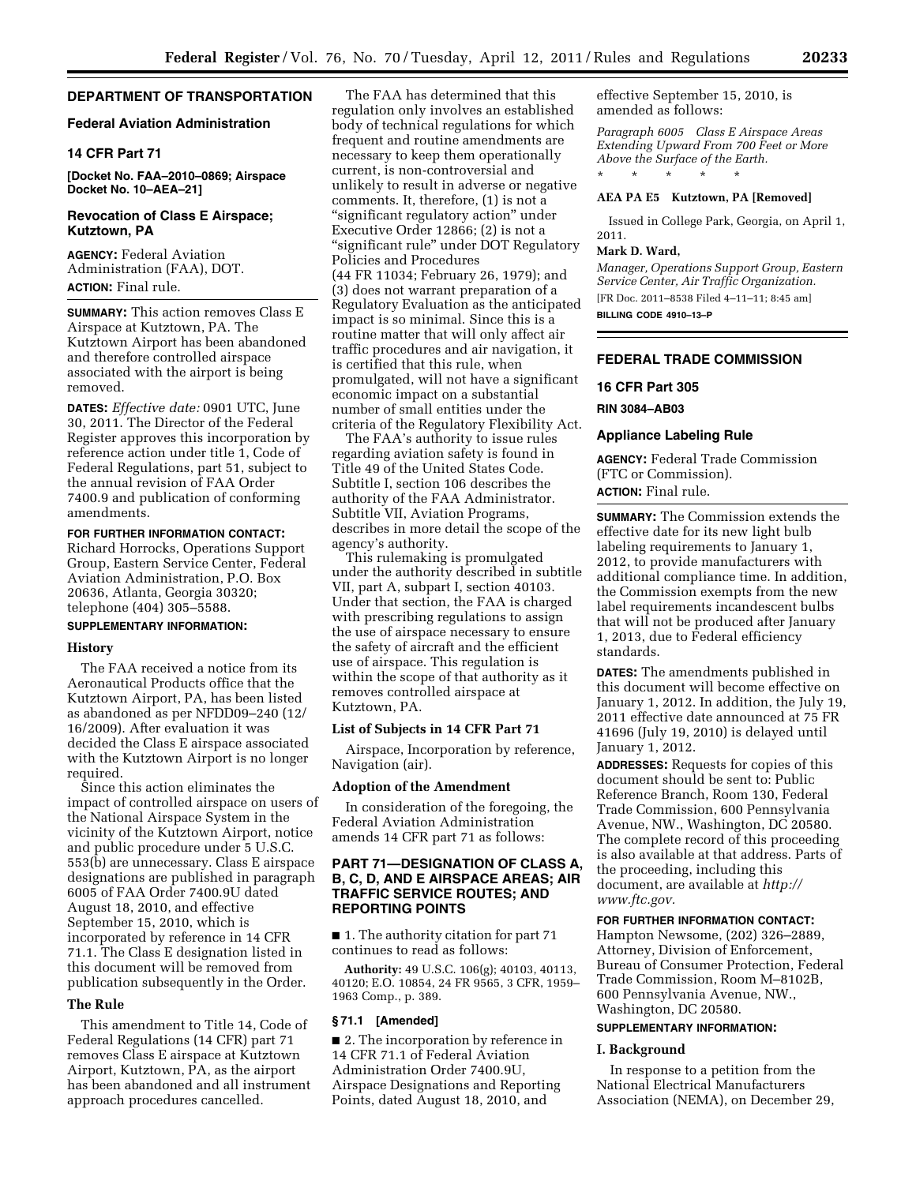#### **DEPARTMENT OF TRANSPORTATION**

#### **Federal Aviation Administration**

#### **14 CFR Part 71**

**[Docket No. FAA–2010–0869; Airspace Docket No. 10–AEA–21]** 

### **Revocation of Class E Airspace; Kutztown, PA**

**AGENCY:** Federal Aviation Administration (FAA), DOT. **ACTION:** Final rule.

**SUMMARY:** This action removes Class E Airspace at Kutztown, PA. The Kutztown Airport has been abandoned and therefore controlled airspace associated with the airport is being removed.

**DATES:** *Effective date:* 0901 UTC, June 30, 2011. The Director of the Federal Register approves this incorporation by reference action under title 1, Code of Federal Regulations, part 51, subject to the annual revision of FAA Order 7400.9 and publication of conforming amendments.

### **FOR FURTHER INFORMATION CONTACT:**

Richard Horrocks, Operations Support Group, Eastern Service Center, Federal Aviation Administration, P.O. Box 20636, Atlanta, Georgia 30320; telephone (404) 305–5588.

### **SUPPLEMENTARY INFORMATION:**

#### **History**

The FAA received a notice from its Aeronautical Products office that the Kutztown Airport, PA, has been listed as abandoned as per NFDD09–240 (12/ 16/2009). After evaluation it was decided the Class E airspace associated with the Kutztown Airport is no longer required.

Since this action eliminates the impact of controlled airspace on users of the National Airspace System in the vicinity of the Kutztown Airport, notice and public procedure under 5 U.S.C. 553(b) are unnecessary. Class E airspace designations are published in paragraph 6005 of FAA Order 7400.9U dated August 18, 2010, and effective September 15, 2010, which is incorporated by reference in 14 CFR 71.1. The Class E designation listed in this document will be removed from publication subsequently in the Order.

#### **The Rule**

This amendment to Title 14, Code of Federal Regulations (14 CFR) part 71 removes Class E airspace at Kutztown Airport, Kutztown, PA, as the airport has been abandoned and all instrument approach procedures cancelled.

The FAA has determined that this regulation only involves an established body of technical regulations for which frequent and routine amendments are necessary to keep them operationally current, is non-controversial and unlikely to result in adverse or negative comments. It, therefore, (1) is not a "significant regulatory action" under Executive Order 12866; (2) is not a ''significant rule'' under DOT Regulatory Policies and Procedures (44 FR 11034; February 26, 1979); and (3) does not warrant preparation of a Regulatory Evaluation as the anticipated impact is so minimal. Since this is a routine matter that will only affect air traffic procedures and air navigation, it is certified that this rule, when promulgated, will not have a significant economic impact on a substantial number of small entities under the criteria of the Regulatory Flexibility Act.

The FAA's authority to issue rules regarding aviation safety is found in Title 49 of the United States Code. Subtitle I, section 106 describes the authority of the FAA Administrator. Subtitle VII, Aviation Programs, describes in more detail the scope of the agency's authority.

This rulemaking is promulgated under the authority described in subtitle VII, part A, subpart I, section 40103. Under that section, the FAA is charged with prescribing regulations to assign the use of airspace necessary to ensure the safety of aircraft and the efficient use of airspace. This regulation is within the scope of that authority as it removes controlled airspace at Kutztown, PA.

### **List of Subjects in 14 CFR Part 71**

Airspace, Incorporation by reference, Navigation (air).

#### **Adoption of the Amendment**

In consideration of the foregoing, the Federal Aviation Administration amends 14 CFR part 71 as follows:

## **PART 71—DESIGNATION OF CLASS A, B, C, D, AND E AIRSPACE AREAS; AIR TRAFFIC SERVICE ROUTES; AND REPORTING POINTS**

■ 1. The authority citation for part 71 continues to read as follows:

**Authority:** 49 U.S.C. 106(g); 40103, 40113, 40120; E.O. 10854, 24 FR 9565, 3 CFR, 1959– 1963 Comp., p. 389.

#### **§ 71.1 [Amended]**

■ 2. The incorporation by reference in 14 CFR 71.1 of Federal Aviation Administration Order 7400.9U, Airspace Designations and Reporting Points, dated August 18, 2010, and

effective September 15, 2010, is amended as follows:

*Paragraph 6005 Class E Airspace Areas Extending Upward From 700 Feet or More Above the Surface of the Earth.*  \* \* \* \* \*

#### **AEA PA E5 Kutztown, PA [Removed]**

Issued in College Park, Georgia, on April 1, 2011.

#### **Mark D. Ward,**

*Manager, Operations Support Group, Eastern Service Center, Air Traffic Organization.*  [FR Doc. 2011–8538 Filed 4–11–11; 8:45 am] **BILLING CODE 4910–13–P** 

### **FEDERAL TRADE COMMISSION**

#### **16 CFR Part 305**

**RIN 3084–AB03** 

#### **Appliance Labeling Rule**

**AGENCY:** Federal Trade Commission (FTC or Commission). **ACTION:** Final rule.

**SUMMARY:** The Commission extends the effective date for its new light bulb labeling requirements to January 1, 2012, to provide manufacturers with additional compliance time. In addition, the Commission exempts from the new label requirements incandescent bulbs that will not be produced after January 1, 2013, due to Federal efficiency standards.

**DATES:** The amendments published in this document will become effective on January 1, 2012. In addition, the July 19, 2011 effective date announced at 75 FR 41696 (July 19, 2010) is delayed until January 1, 2012.

**ADDRESSES:** Requests for copies of this document should be sent to: Public Reference Branch, Room 130, Federal Trade Commission, 600 Pennsylvania Avenue, NW., Washington, DC 20580. The complete record of this proceeding is also available at that address. Parts of the proceeding, including this document, are available at *[http://](http://www.ftc.gov) [www.ftc.gov.](http://www.ftc.gov)* 

### **FOR FURTHER INFORMATION CONTACT:**

Hampton Newsome, (202) 326–2889, Attorney, Division of Enforcement, Bureau of Consumer Protection, Federal Trade Commission, Room M–8102B, 600 Pennsylvania Avenue, NW., Washington, DC 20580.

# **SUPPLEMENTARY INFORMATION:**

### **I. Background**

In response to a petition from the National Electrical Manufacturers Association (NEMA), on December 29,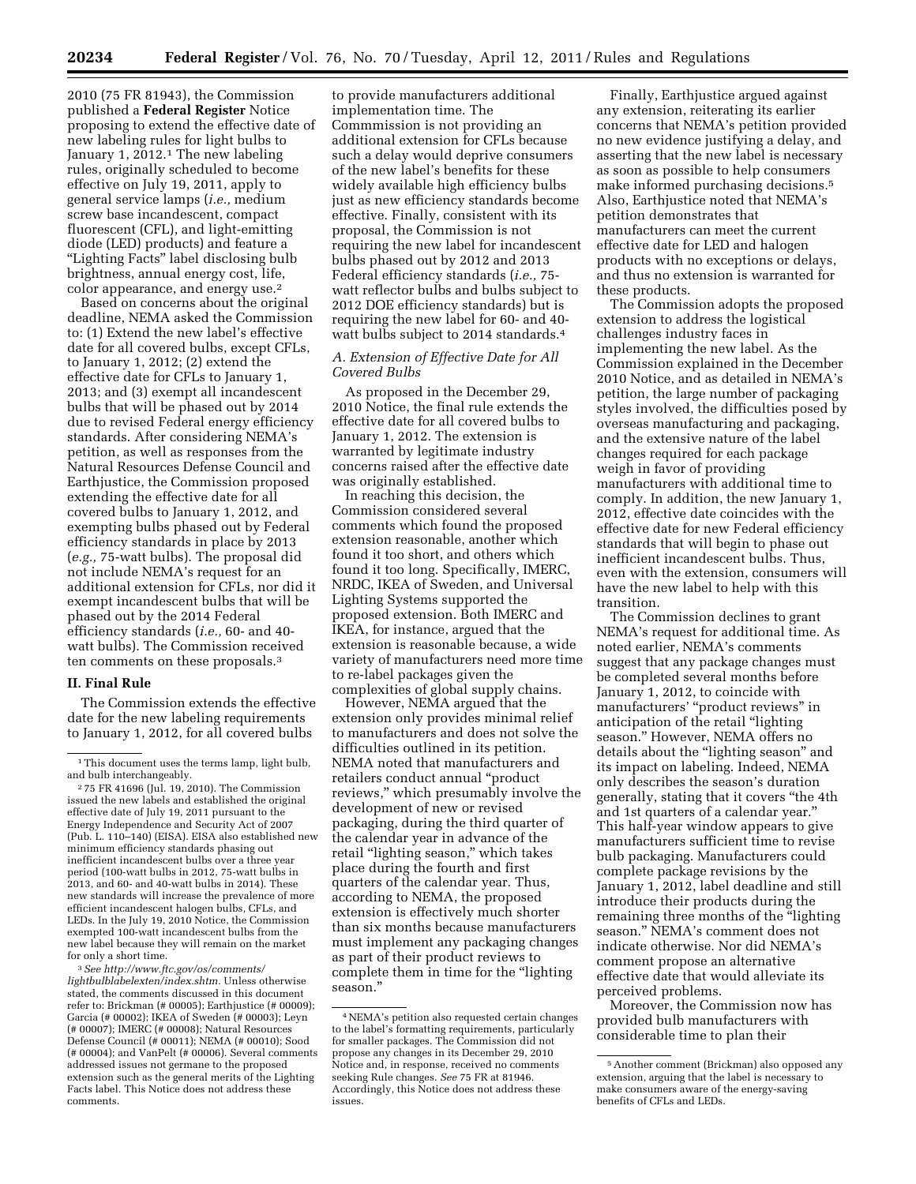2010 (75 FR 81943), the Commission published a **Federal Register** Notice proposing to extend the effective date of new labeling rules for light bulbs to January 1, 2012.<sup>1</sup> The new labeling rules, originally scheduled to become effective on July 19, 2011, apply to general service lamps (*i.e.,* medium screw base incandescent, compact fluorescent (CFL), and light-emitting diode (LED) products) and feature a "Lighting Facts" label disclosing bulb brightness, annual energy cost, life, color appearance, and energy use.2

Based on concerns about the original deadline, NEMA asked the Commission to: (1) Extend the new label's effective date for all covered bulbs, except CFLs, to January 1, 2012; (2) extend the effective date for CFLs to January 1, 2013; and (3) exempt all incandescent bulbs that will be phased out by 2014 due to revised Federal energy efficiency standards. After considering NEMA's petition, as well as responses from the Natural Resources Defense Council and Earthjustice, the Commission proposed extending the effective date for all covered bulbs to January 1, 2012, and exempting bulbs phased out by Federal efficiency standards in place by 2013 (*e.g.,* 75-watt bulbs). The proposal did not include NEMA's request for an additional extension for CFLs, nor did it exempt incandescent bulbs that will be phased out by the 2014 Federal efficiency standards (*i.e.,* 60- and 40 watt bulbs). The Commission received ten comments on these proposals.3

#### **II. Final Rule**

The Commission extends the effective date for the new labeling requirements to January 1, 2012, for all covered bulbs

3*See [http://www.ftc.gov/os/comments/](http://www.ftc.gov/os/comments/lightbulblabelexten/index.shtm) [lightbulblabelexten/index.shtm.](http://www.ftc.gov/os/comments/lightbulblabelexten/index.shtm)* Unless otherwise stated, the comments discussed in this document refer to: Brickman (# 00005); Earthjustice (# 00009); Garcia (# 00002); IKEA of Sweden (# 00003); Leyn (# 00007); IMERC (# 00008); Natural Resources Defense Council (# 00011); NEMA (# 00010); Sood (# 00004); and VanPelt (# 00006). Several comments addressed issues not germane to the proposed extension such as the general merits of the Lighting Facts label. This Notice does not address these comments.

to provide manufacturers additional implementation time. The Commmission is not providing an additional extension for CFLs because such a delay would deprive consumers of the new label's benefits for these widely available high efficiency bulbs just as new efficiency standards become effective. Finally, consistent with its proposal, the Commission is not requiring the new label for incandescent bulbs phased out by 2012 and 2013 Federal efficiency standards (*i.e.,* 75 watt reflector bulbs and bulbs subject to 2012 DOE efficiency standards) but is requiring the new label for 60- and 40 watt bulbs subject to 2014 standards.4

#### *A. Extension of Effective Date for All Covered Bulbs*

As proposed in the December 29, 2010 Notice, the final rule extends the effective date for all covered bulbs to January 1, 2012. The extension is warranted by legitimate industry concerns raised after the effective date was originally established.

In reaching this decision, the Commission considered several comments which found the proposed extension reasonable, another which found it too short, and others which found it too long. Specifically, IMERC, NRDC, IKEA of Sweden, and Universal Lighting Systems supported the proposed extension. Both IMERC and IKEA, for instance, argued that the extension is reasonable because, a wide variety of manufacturers need more time to re-label packages given the complexities of global supply chains.

However, NEMA argued that the extension only provides minimal relief to manufacturers and does not solve the difficulties outlined in its petition. NEMA noted that manufacturers and retailers conduct annual ''product reviews,'' which presumably involve the development of new or revised packaging, during the third quarter of the calendar year in advance of the retail "lighting season," which takes place during the fourth and first quarters of the calendar year. Thus, according to NEMA, the proposed extension is effectively much shorter than six months because manufacturers must implement any packaging changes as part of their product reviews to complete them in time for the ''lighting season.''

Finally, Earthjustice argued against any extension, reiterating its earlier concerns that NEMA's petition provided no new evidence justifying a delay, and asserting that the new label is necessary as soon as possible to help consumers make informed purchasing decisions.5 Also, Earthjustice noted that NEMA's petition demonstrates that manufacturers can meet the current effective date for LED and halogen products with no exceptions or delays, and thus no extension is warranted for these products.

The Commission adopts the proposed extension to address the logistical challenges industry faces in implementing the new label. As the Commission explained in the December 2010 Notice, and as detailed in NEMA's petition, the large number of packaging styles involved, the difficulties posed by overseas manufacturing and packaging, and the extensive nature of the label changes required for each package weigh in favor of providing manufacturers with additional time to comply. In addition, the new January 1, 2012, effective date coincides with the effective date for new Federal efficiency standards that will begin to phase out inefficient incandescent bulbs. Thus, even with the extension, consumers will have the new label to help with this transition.

The Commission declines to grant NEMA's request for additional time. As noted earlier, NEMA's comments suggest that any package changes must be completed several months before January 1, 2012, to coincide with manufacturers' ''product reviews'' in anticipation of the retail "lighting" season.'' However, NEMA offers no details about the "lighting season" and its impact on labeling. Indeed, NEMA only describes the season's duration generally, stating that it covers ''the 4th and 1st quarters of a calendar year.'' This half-year window appears to give manufacturers sufficient time to revise bulb packaging. Manufacturers could complete package revisions by the January 1, 2012, label deadline and still introduce their products during the remaining three months of the "lighting" season.'' NEMA's comment does not indicate otherwise. Nor did NEMA's comment propose an alternative effective date that would alleviate its perceived problems.

Moreover, the Commission now has provided bulb manufacturers with considerable time to plan their

<sup>&</sup>lt;sup>1</sup>This document uses the terms lamp, light bulb, and bulb interchangeably.

<sup>2</sup> 75 FR 41696 (Jul. 19, 2010). The Commission issued the new labels and established the original effective date of July 19, 2011 pursuant to the Energy Independence and Security Act of 2007 (Pub. L. 110–140) (EISA). EISA also established new minimum efficiency standards phasing out inefficient incandescent bulbs over a three year period (100-watt bulbs in 2012, 75-watt bulbs in 2013, and 60- and 40-watt bulbs in 2014). These new standards will increase the prevalence of more efficient incandescent halogen bulbs, CFLs, and LEDs. In the July 19, 2010 Notice, the Commission exempted 100-watt incandescent bulbs from the new label because they will remain on the market for only a short time.

<sup>4</sup>NEMA's petition also requested certain changes to the label's formatting requirements, particularly for smaller packages. The Commission did not propose any changes in its December 29, 2010 Notice and, in response, received no comments seeking Rule changes. *See* 75 FR at 81946. Accordingly, this Notice does not address these issues.

<sup>5</sup>Another comment (Brickman) also opposed any extension, arguing that the label is necessary to make consumers aware of the energy-saving benefits of CFLs and LEDs.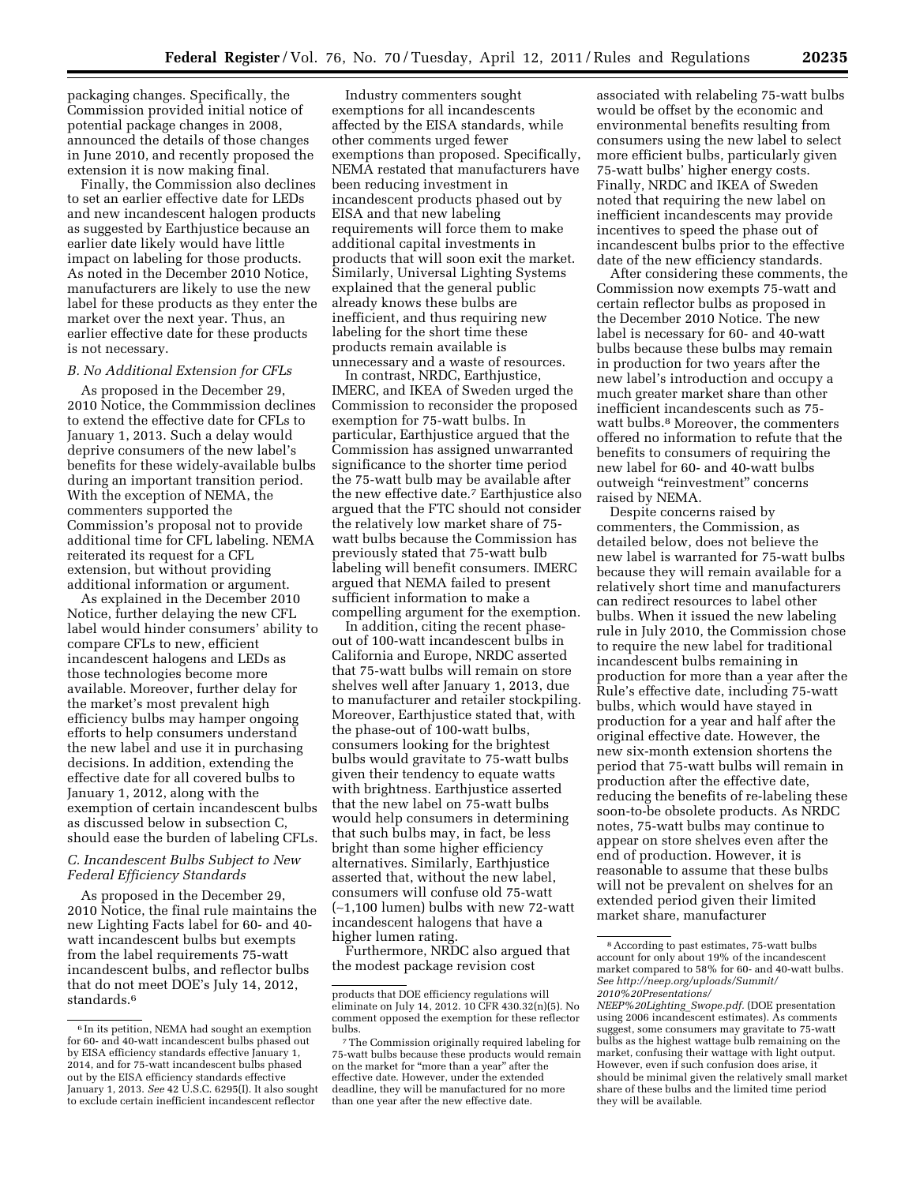packaging changes. Specifically, the Commission provided initial notice of potential package changes in 2008, announced the details of those changes in June 2010, and recently proposed the extension it is now making final.

Finally, the Commission also declines to set an earlier effective date for LEDs and new incandescent halogen products as suggested by Earthjustice because an earlier date likely would have little impact on labeling for those products. As noted in the December 2010 Notice, manufacturers are likely to use the new label for these products as they enter the market over the next year. Thus, an earlier effective date for these products is not necessary.

## *B. No Additional Extension for CFLs*

As proposed in the December 29, 2010 Notice, the Commmission declines to extend the effective date for CFLs to January 1, 2013. Such a delay would deprive consumers of the new label's benefits for these widely-available bulbs during an important transition period. With the exception of NEMA, the commenters supported the Commission's proposal not to provide additional time for CFL labeling. NEMA reiterated its request for a CFL extension, but without providing additional information or argument.

As explained in the December 2010 Notice, further delaying the new CFL label would hinder consumers' ability to compare CFLs to new, efficient incandescent halogens and LEDs as those technologies become more available. Moreover, further delay for the market's most prevalent high efficiency bulbs may hamper ongoing efforts to help consumers understand the new label and use it in purchasing decisions. In addition, extending the effective date for all covered bulbs to January 1, 2012, along with the exemption of certain incandescent bulbs as discussed below in subsection C, should ease the burden of labeling CFLs.

### *C. Incandescent Bulbs Subject to New Federal Efficiency Standards*

As proposed in the December 29, 2010 Notice, the final rule maintains the new Lighting Facts label for 60- and 40 watt incandescent bulbs but exempts from the label requirements 75-watt incandescent bulbs, and reflector bulbs that do not meet DOE's July 14, 2012, standards.<sup>6</sup>

Industry commenters sought exemptions for all incandescents affected by the EISA standards, while other comments urged fewer exemptions than proposed. Specifically, NEMA restated that manufacturers have been reducing investment in incandescent products phased out by EISA and that new labeling requirements will force them to make additional capital investments in products that will soon exit the market. Similarly, Universal Lighting Systems explained that the general public already knows these bulbs are inefficient, and thus requiring new labeling for the short time these products remain available is unnecessary and a waste of resources.

In contrast, NRDC, Earthjustice, IMERC, and IKEA of Sweden urged the Commission to reconsider the proposed exemption for 75-watt bulbs. In particular, Earthjustice argued that the Commission has assigned unwarranted significance to the shorter time period the 75-watt bulb may be available after the new effective date.7 Earthjustice also argued that the FTC should not consider the relatively low market share of 75 watt bulbs because the Commission has previously stated that 75-watt bulb labeling will benefit consumers. IMERC argued that NEMA failed to present sufficient information to make a compelling argument for the exemption.

In addition, citing the recent phaseout of 100-watt incandescent bulbs in California and Europe, NRDC asserted that 75-watt bulbs will remain on store shelves well after January 1, 2013, due to manufacturer and retailer stockpiling. Moreover, Earthjustice stated that, with the phase-out of 100-watt bulbs, consumers looking for the brightest bulbs would gravitate to 75-watt bulbs given their tendency to equate watts with brightness. Earthjustice asserted that the new label on 75-watt bulbs would help consumers in determining that such bulbs may, in fact, be less bright than some higher efficiency alternatives. Similarly, Earthjustice asserted that, without the new label, consumers will confuse old 75-watt (∼1,100 lumen) bulbs with new 72-watt incandescent halogens that have a higher lumen rating.

Furthermore, NRDC also argued that the modest package revision cost

associated with relabeling 75-watt bulbs would be offset by the economic and environmental benefits resulting from consumers using the new label to select more efficient bulbs, particularly given 75-watt bulbs' higher energy costs. Finally, NRDC and IKEA of Sweden noted that requiring the new label on inefficient incandescents may provide incentives to speed the phase out of incandescent bulbs prior to the effective date of the new efficiency standards.

After considering these comments, the Commission now exempts 75-watt and certain reflector bulbs as proposed in the December 2010 Notice. The new label is necessary for 60- and 40-watt bulbs because these bulbs may remain in production for two years after the new label's introduction and occupy a much greater market share than other inefficient incandescents such as 75 watt bulbs.<sup>8</sup> Moreover, the commenters offered no information to refute that the benefits to consumers of requiring the new label for 60- and 40-watt bulbs outweigh "reinvestment" concerns raised by NEMA.

Despite concerns raised by commenters, the Commission, as detailed below, does not believe the new label is warranted for 75-watt bulbs because they will remain available for a relatively short time and manufacturers can redirect resources to label other bulbs. When it issued the new labeling rule in July 2010, the Commission chose to require the new label for traditional incandescent bulbs remaining in production for more than a year after the Rule's effective date, including 75-watt bulbs, which would have stayed in production for a year and half after the original effective date. However, the new six-month extension shortens the period that 75-watt bulbs will remain in production after the effective date, reducing the benefits of re-labeling these soon-to-be obsolete products. As NRDC notes, 75-watt bulbs may continue to appear on store shelves even after the end of production. However, it is reasonable to assume that these bulbs will not be prevalent on shelves for an extended period given their limited market share, manufacturer

<sup>6</sup> In its petition, NEMA had sought an exemption for 60- and 40-watt incandescent bulbs phased out by EISA efficiency standards effective January 1, 2014, and for 75-watt incandescent bulbs phased out by the EISA efficiency standards effective January 1, 2013. *See* 42 U.S.C. 6295(I). It also sought to exclude certain inefficient incandescent reflector

products that DOE efficiency regulations will eliminate on July 14, 2012. 10 CFR 430.32(n)(5). No comment opposed the exemption for these reflector

<sup>&</sup>lt;sup>7</sup>The Commission originally required labeling for 75-watt bulbs because these products would remain on the market for "more than a year" after the effective date. However, under the extended deadline, they will be manufactured for no more than one year after the new effective date.

<sup>8</sup>According to past estimates, 75-watt bulbs account for only about 19% of the incandescent market compared to 58% for 60- and 40-watt bulbs. *See [http://neep.org/uploads/Summit/](http://neep.org/uploads/Summit/2010%20Presentations/NEEP%20Lighting_Swope.pdf) [2010%20Presentations/](http://neep.org/uploads/Summit/2010%20Presentations/NEEP%20Lighting_Swope.pdf)* 

*[NEEP%20Lighting](http://neep.org/uploads/Summit/2010%20Presentations/NEEP%20Lighting_Swope.pdf)*\_*Swope.pdf.* (DOE presentation using 2006 incandescent estimates). As comments suggest, some consumers may gravitate to 75-watt bulbs as the highest wattage bulb remaining on the market, confusing their wattage with light output. However, even if such confusion does arise, it should be minimal given the relatively small market share of these bulbs and the limited time period they will be available.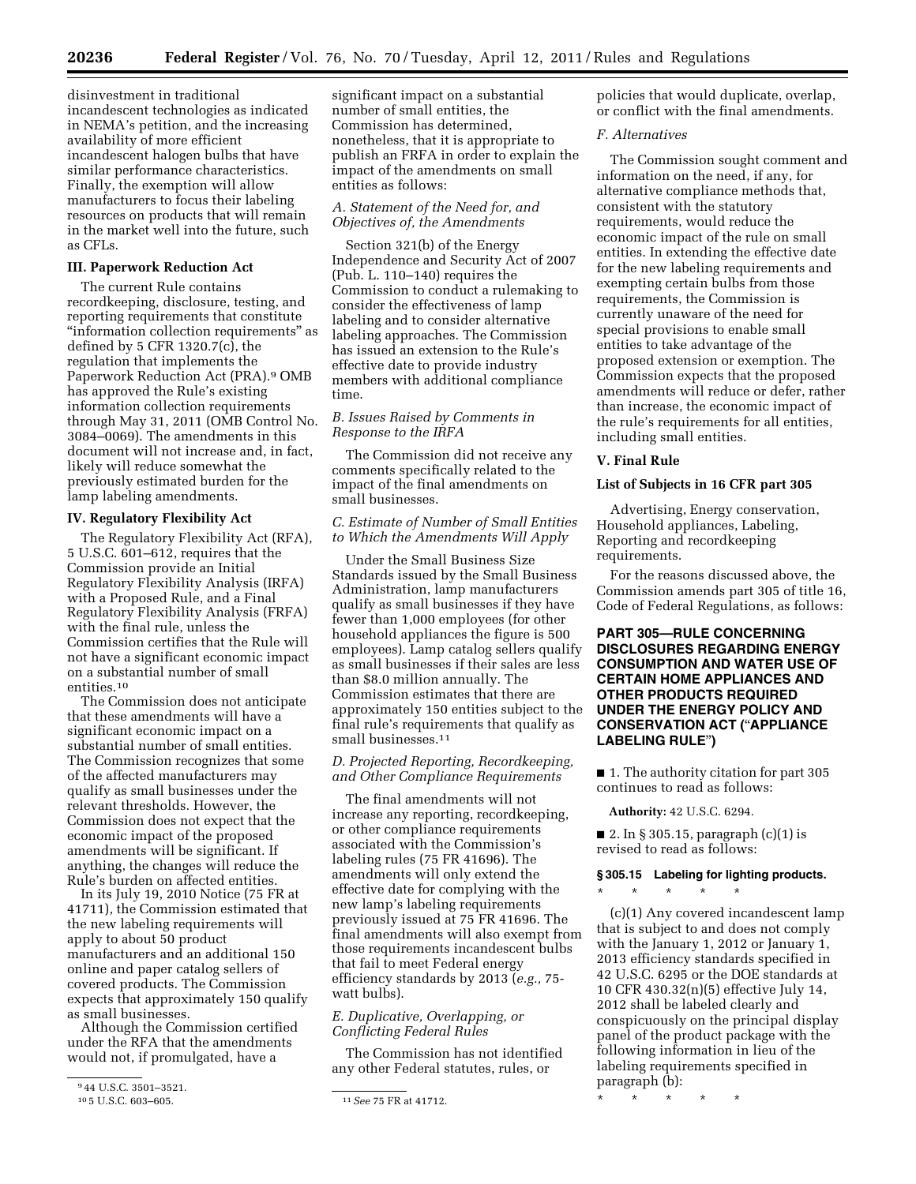disinvestment in traditional incandescent technologies as indicated in NEMA's petition, and the increasing availability of more efficient incandescent halogen bulbs that have similar performance characteristics. Finally, the exemption will allow manufacturers to focus their labeling resources on products that will remain in the market well into the future, such as CFLs.

#### **III. Paperwork Reduction Act**

The current Rule contains recordkeeping, disclosure, testing, and reporting requirements that constitute ''information collection requirements'' as defined by 5 CFR 1320.7(c), the regulation that implements the Paperwork Reduction Act (PRA).9 OMB has approved the Rule's existing information collection requirements through May 31, 2011 (OMB Control No. 3084–0069). The amendments in this document will not increase and, in fact, likely will reduce somewhat the previously estimated burden for the lamp labeling amendments.

# **IV. Regulatory Flexibility Act**

The Regulatory Flexibility Act (RFA), 5 U.S.C. 601–612, requires that the Commission provide an Initial Regulatory Flexibility Analysis (IRFA) with a Proposed Rule, and a Final Regulatory Flexibility Analysis (FRFA) with the final rule, unless the Commission certifies that the Rule will not have a significant economic impact on a substantial number of small entities.10

The Commission does not anticipate that these amendments will have a significant economic impact on a substantial number of small entities. The Commission recognizes that some of the affected manufacturers may qualify as small businesses under the relevant thresholds. However, the Commission does not expect that the economic impact of the proposed amendments will be significant. If anything, the changes will reduce the Rule's burden on affected entities.

In its July 19, 2010 Notice (75 FR at 41711), the Commission estimated that the new labeling requirements will apply to about 50 product manufacturers and an additional 150 online and paper catalog sellers of covered products. The Commission expects that approximately 150 qualify as small businesses.

Although the Commission certified under the RFA that the amendments would not, if promulgated, have a

significant impact on a substantial number of small entities, the Commission has determined, nonetheless, that it is appropriate to publish an FRFA in order to explain the impact of the amendments on small entities as follows:

## *A. Statement of the Need for, and Objectives of, the Amendments*

Section 321(b) of the Energy Independence and Security Act of 2007 (Pub. L. 110–140) requires the Commission to conduct a rulemaking to consider the effectiveness of lamp labeling and to consider alternative labeling approaches. The Commission has issued an extension to the Rule's effective date to provide industry members with additional compliance time.

# *B. Issues Raised by Comments in Response to the IRFA*

The Commission did not receive any comments specifically related to the impact of the final amendments on small businesses.

#### *C. Estimate of Number of Small Entities to Which the Amendments Will Apply*

Under the Small Business Size Standards issued by the Small Business Administration, lamp manufacturers qualify as small businesses if they have fewer than 1,000 employees (for other household appliances the figure is 500 employees). Lamp catalog sellers qualify as small businesses if their sales are less than \$8.0 million annually. The Commission estimates that there are approximately 150 entities subject to the final rule's requirements that qualify as small businesses.<sup>11</sup>

## *D. Projected Reporting, Recordkeeping, and Other Compliance Requirements*

The final amendments will not increase any reporting, recordkeeping, or other compliance requirements associated with the Commission's labeling rules (75 FR 41696). The amendments will only extend the effective date for complying with the new lamp's labeling requirements previously issued at 75 FR 41696. The final amendments will also exempt from those requirements incandescent bulbs that fail to meet Federal energy efficiency standards by 2013 (*e.g.,* 75 watt bulbs).

## *E. Duplicative, Overlapping, or Conflicting Federal Rules*

The Commission has not identified any other Federal statutes, rules, or

policies that would duplicate, overlap, or conflict with the final amendments.

#### *F. Alternatives*

The Commission sought comment and information on the need, if any, for alternative compliance methods that, consistent with the statutory requirements, would reduce the economic impact of the rule on small entities. In extending the effective date for the new labeling requirements and exempting certain bulbs from those requirements, the Commission is currently unaware of the need for special provisions to enable small entities to take advantage of the proposed extension or exemption. The Commission expects that the proposed amendments will reduce or defer, rather than increase, the economic impact of the rule's requirements for all entities, including small entities.

#### **V. Final Rule**

#### **List of Subjects in 16 CFR part 305**

Advertising, Energy conservation, Household appliances, Labeling, Reporting and recordkeeping requirements.

For the reasons discussed above, the Commission amends part 305 of title 16, Code of Federal Regulations, as follows:

# **PART 305—RULE CONCERNING DISCLOSURES REGARDING ENERGY CONSUMPTION AND WATER USE OF CERTAIN HOME APPLIANCES AND OTHER PRODUCTS REQUIRED UNDER THE ENERGY POLICY AND CONSERVATION ACT (**''**APPLIANCE LABELING RULE**''**)**

■ 1. The authority citation for part 305 continues to read as follows:

**Authority:** 42 U.S.C. 6294.

■ 2. In § 305.15, paragraph  $(c)(1)$  is revised to read as follows:

### **§ 305.15 Labeling for lighting products.**

\* \* \* \* \*

(c)(1) Any covered incandescent lamp that is subject to and does not comply with the January 1, 2012 or January 1, 2013 efficiency standards specified in 42 U.S.C. 6295 or the DOE standards at 10 CFR 430.32(n)(5) effective July 14, 2012 shall be labeled clearly and conspicuously on the principal display panel of the product package with the following information in lieu of the labeling requirements specified in paragraph (b):

\* \* \* \* \*

<sup>944</sup> U.S.C. 3501-3521.<br>105 U.S.C. 603-605.

<sup>10</sup> 5 U.S.C. 603–605. 11*See* 75 FR at 41712.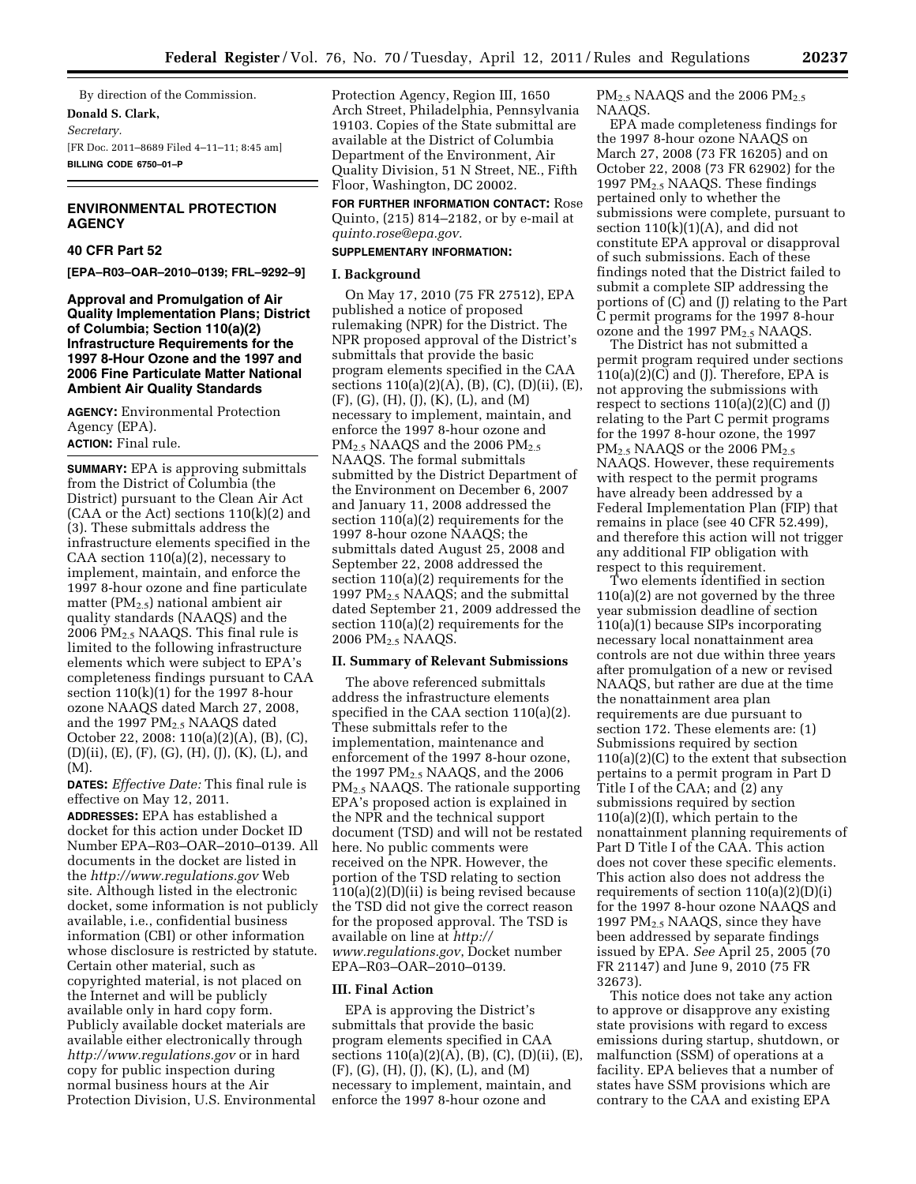By direction of the Commission. **Donald S. Clark,**  *Secretary.*  [FR Doc. 2011–8689 Filed 4–11–11; 8:45 am] **BILLING CODE 6750–01–P** 

# **ENVIRONMENTAL PROTECTION AGENCY**

#### **40 CFR Part 52**

**[EPA–R03–OAR–2010–0139; FRL–9292–9]** 

**Approval and Promulgation of Air Quality Implementation Plans; District of Columbia; Section 110(a)(2) Infrastructure Requirements for the 1997 8-Hour Ozone and the 1997 and 2006 Fine Particulate Matter National Ambient Air Quality Standards** 

**AGENCY:** Environmental Protection Agency (EPA). **ACTION:** Final rule.

**SUMMARY:** EPA is approving submittals from the District of Columbia (the District) pursuant to the Clean Air Act  $(CAA \text{ or the Act})$  sections  $110(k)(2)$  and (3). These submittals address the infrastructure elements specified in the CAA section 110(a)(2), necessary to implement, maintain, and enforce the 1997 8-hour ozone and fine particulate matter ( $PM_{2.5}$ ) national ambient air quality standards (NAAQS) and the 2006 PM2.5 NAAQS. This final rule is limited to the following infrastructure elements which were subject to EPA's completeness findings pursuant to CAA section  $110(k)(1)$  for the 1997 8-hour ozone NAAQS dated March 27, 2008, and the 1997 PM<sub>2.5</sub> NAAQS dated October 22, 2008: 110(a)(2)(A), (B), (C), (D)(ii), (E), (F), (G), (H), (J), (K), (L), and (M).

**DATES:** *Effective Date:* This final rule is effective on May 12, 2011. **ADDRESSES:** EPA has established a docket for this action under Docket ID Number EPA–R03–OAR–2010–0139. All documents in the docket are listed in the *<http://www.regulations.gov>*Web site. Although listed in the electronic docket, some information is not publicly available, i.e., confidential business information (CBI) or other information whose disclosure is restricted by statute. Certain other material, such as copyrighted material, is not placed on the Internet and will be publicly available only in hard copy form. Publicly available docket materials are available either electronically through *<http://www.regulations.gov>* or in hard copy for public inspection during normal business hours at the Air Protection Division, U.S. Environmental

Protection Agency, Region III, 1650 Arch Street, Philadelphia, Pennsylvania 19103. Copies of the State submittal are available at the District of Columbia Department of the Environment, Air Quality Division, 51 N Street, NE., Fifth Floor, Washington, DC 20002.

**FOR FURTHER INFORMATION CONTACT:** Rose Quinto, (215) 814–2182, or by e-mail at *[quinto.rose@epa.gov.](mailto:quinto.rose@epa.gov)* 

## **SUPPLEMENTARY INFORMATION:**

#### **I. Background**

On May 17, 2010 (75 FR 27512), EPA published a notice of proposed rulemaking (NPR) for the District. The NPR proposed approval of the District's submittals that provide the basic program elements specified in the CAA sections 110(a)(2)(A), (B), (C), (D)(ii), (E), (F), (G), (H), (J), (K), (L), and (M) necessary to implement, maintain, and enforce the 1997 8-hour ozone and PM<sub>2.5</sub> NAAQS and the 2006 PM<sub>2.5</sub> NAAQS. The formal submittals submitted by the District Department of the Environment on December 6, 2007 and January 11, 2008 addressed the section 110(a)(2) requirements for the 1997 8-hour ozone NAAQS; the submittals dated August 25, 2008 and September 22, 2008 addressed the section 110(a)(2) requirements for the 1997 PM2.5 NAAQS; and the submittal dated September 21, 2009 addressed the section 110(a)(2) requirements for the 2006 PM<sub>2.5</sub> NAAQS.

#### **II. Summary of Relevant Submissions**

The above referenced submittals address the infrastructure elements specified in the CAA section 110(a)(2). These submittals refer to the implementation, maintenance and enforcement of the 1997 8-hour ozone, the 1997  $PM<sub>2.5</sub> NAAQS$ , and the 2006 PM2.5 NAAQS. The rationale supporting EPA's proposed action is explained in the NPR and the technical support document (TSD) and will not be restated here. No public comments were received on the NPR. However, the portion of the TSD relating to section 110(a)(2)(D)(ii) is being revised because the TSD did not give the correct reason for the proposed approval. The TSD is available on line at *[http://](http://www.regulations.gov) [www.regulations.gov](http://www.regulations.gov)*, Docket number EPA–R03–OAR–2010–0139.

#### **III. Final Action**

EPA is approving the District's submittals that provide the basic program elements specified in CAA sections 110(a)(2)(A), (B), (C), (D)(ii), (E), (F), (G), (H), (J), (K), (L), and (M) necessary to implement, maintain, and enforce the 1997 8-hour ozone and

PM<sub>2.5</sub> NAAQS and the 2006 PM<sub>2.5</sub> NAAQS.

EPA made completeness findings for the 1997 8-hour ozone NAAQS on March 27, 2008 (73 FR 16205) and on October 22, 2008 (73 FR 62902) for the 1997  $PM_{2.5}$  NAAQS. These findings pertained only to whether the submissions were complete, pursuant to section  $110(k)(1)(A)$ , and did not constitute EPA approval or disapproval of such submissions. Each of these findings noted that the District failed to submit a complete SIP addressing the portions of (C) and (J) relating to the Part C permit programs for the 1997 8-hour ozone and the 1997  $PM<sub>2.5</sub>$  NAAOS.

The District has not submitted a permit program required under sections  $110(a)(2)(C)$  and (J). Therefore, EPA is not approving the submissions with respect to sections  $110(a)(2)(C)$  and  $(J)$ relating to the Part C permit programs for the 1997 8-hour ozone, the 1997 PM<sub>2.5</sub> NAAQS or the 2006 PM<sub>2.5</sub> NAAQS. However, these requirements with respect to the permit programs have already been addressed by a Federal Implementation Plan (FIP) that remains in place (see 40 CFR 52.499), and therefore this action will not trigger any additional FIP obligation with respect to this requirement.

Two elements identified in section 110(a)(2) are not governed by the three year submission deadline of section 110(a)(1) because SIPs incorporating necessary local nonattainment area controls are not due within three years after promulgation of a new or revised NAAQS, but rather are due at the time the nonattainment area plan requirements are due pursuant to section 172. These elements are: (1) Submissions required by section 110(a)(2)(C) to the extent that subsection pertains to a permit program in Part D Title I of the CAA; and (2) any submissions required by section  $110(a)(2)(I)$ , which pertain to the nonattainment planning requirements of Part D Title I of the CAA. This action does not cover these specific elements. This action also does not address the requirements of section 110(a)(2)(D)(i) for the 1997 8-hour ozone NAAQS and 1997 PM2.5 NAAQS, since they have been addressed by separate findings issued by EPA. *See* April 25, 2005 (70 FR 21147) and June 9, 2010 (75 FR 32673).

This notice does not take any action to approve or disapprove any existing state provisions with regard to excess emissions during startup, shutdown, or malfunction (SSM) of operations at a facility. EPA believes that a number of states have SSM provisions which are contrary to the CAA and existing EPA